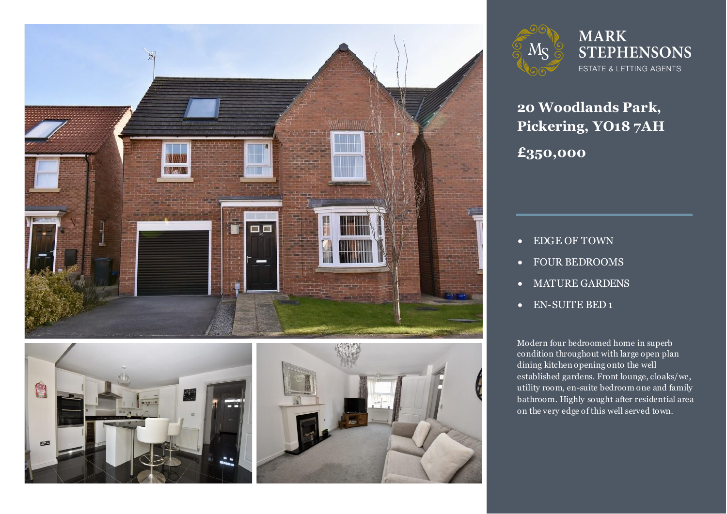





**MARK STEPHENSONS** ESTATE & LETTING AGENTS

**20 Woodlands Park, Pickering, YO18 7AH £350,000**

- EDGE OF TOWN
- FOUR BEDROOMS
- MATURE GARDENS
- EN-SUITE BED 1

Modern four bedroomed home in superb<br>condition throughout with large open plan dining kitchen opening onto the well<br>established gardens. Front lounge, cloaks/wc, on the very edge of this well served town. Modern four bedroomed home in superb dining kitchen opening onto the well utility room, en-suite bedroom one and family bathroom. Highly sought after residential area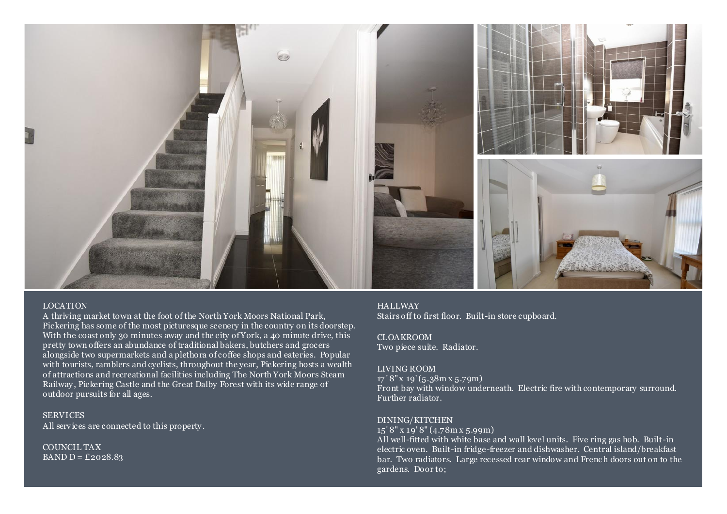

## LOCATION

A thriving market town at the foot of the North York Moors National Park, Pickering has some of the most picturesque scenery in the country on its doorstep. With the coast only 30 minutes away and the city of York, a 40 minute drive, this pretty town offers an abundance of traditional bakers, butchers and grocers alongside two supermarkets and a plethora of coffee shops and eateries. Popular with tourists, ramblers and cyclists, throughout the year, Pickering hosts a wealth of attractions and recreational facilities including The North York Moors Steam Railway , Pickering Castle and the Great Dalby Forest with its wide range of outdoor pursuits for all ages.

**SERVICES** All services are connected to this property .

COUNCIL TAX BAND  $D = \pounds 2028.83$ 

## **HALLWAY** Stairs off to first floor. Built-in store cupboard.

CLOAKROOM Two piece suite. Radiator.

## LIVING ROOM

17 ' 8" x 19' (5.38m x 5.79m) Front bay with window underneath. Electric fire with contemporary surround. Further radiator.

## DINING/KITCHEN

15' 8" x 19' 8" (4.78m x 5.99m)

All well-fitted with white base and wall level units. Five ring gas hob. Built-in electric oven. Built-in fridge-freezer and dishwasher. Central island/breakfast bar. Two radiators. Large recessed rear window and French doors out on to the gardens. Door to;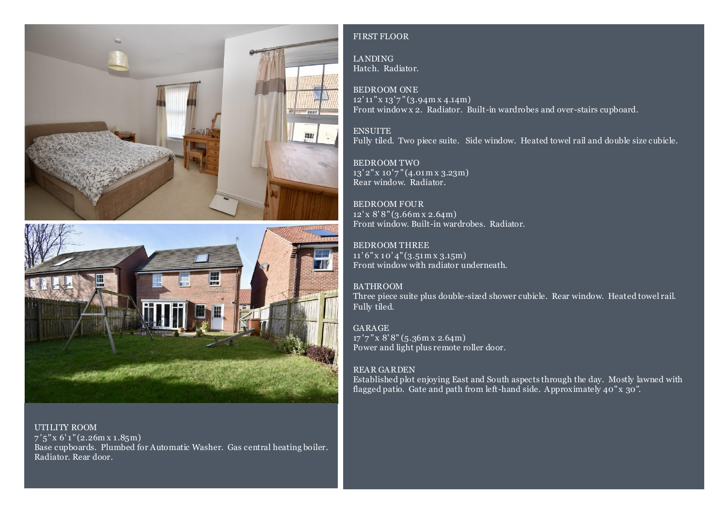



UTILITY ROOM  $7'5''$  x 6' 1" (2.26 m x 1.85 m) Base cupboards. Plumbed for Automatic Washer. Gas central heating boiler. Radiator. Rear door.

# FIRST FLOOR

LANDING Hatch. Radiator.

BEDROOM ONE  $12'11''$  x  $13'7''$  (3.94m x 4.14m) Front window x 2. Radiator. Built-in wardrobes and over-stairs cupboard.

ENSUITE Fully tiled. Two piece suite. Side window. Heated towel rail and double size cubicle.

BEDROOM TWO  $13'2''$  x  $10'7''$  (4.01 m x 3.23 m) Rear window. Radiator.

BEDROOM FOUR 12' x 8' 8" (3.66m x 2.64m) Front window. Built-in wardrobes. Radiator.

BEDROOM THREE 11' 6" x 10' 4" (3.51m x 3.15m) Front window with radiator underneath.

BATHROOM Three piece suite plus double-sized shower cubicle. Rear window. Heated towel rail. Fully tiled.

GARAGE 17'7" x 8'8" (5.36m x 2.64m) Power and light plus remote roller door.

# REAR GARDEN

Established plot enjoying East and South aspects through the day. Mostly lawned with flagged patio. Gate and path from left-hand side. Approximately 40" x  $30$ ".